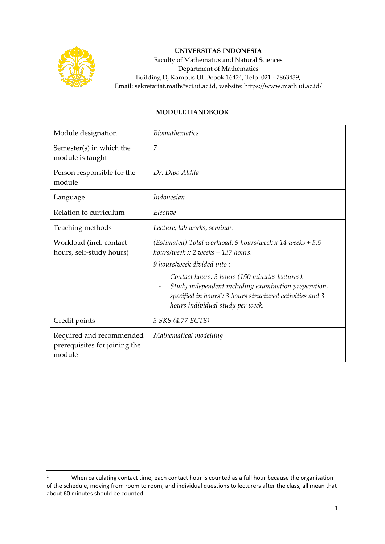

## **UNIVERSITAS INDONESIA**

Faculty of Mathematics and Natural Sciences Department of Mathematics Building D, Kampus UI Depok 16424, Telp: 021 - 7863439, Email: sekretariat.math@sci.ui.ac.id, website: https://www.math.ui.ac.id/

## **MODULE HANDBOOK**

| Module designation                                                  | <i>Biomathematics</i>                                                                                                                                                                                               |  |  |
|---------------------------------------------------------------------|---------------------------------------------------------------------------------------------------------------------------------------------------------------------------------------------------------------------|--|--|
| Semester(s) in which the<br>module is taught                        | 7                                                                                                                                                                                                                   |  |  |
| Person responsible for the<br>module                                | Dr. Dipo Aldila                                                                                                                                                                                                     |  |  |
| Language                                                            | Indonesian                                                                                                                                                                                                          |  |  |
| Relation to curriculum                                              | Elective                                                                                                                                                                                                            |  |  |
| Teaching methods                                                    | Lecture, lab works, seminar.                                                                                                                                                                                        |  |  |
| Workload (incl. contact<br>hours, self-study hours)                 | (Estimated) Total workload: 9 hours/week $x$ 14 weeks + 5.5<br>hours/week $x$ 2 weeks = 137 hours.                                                                                                                  |  |  |
|                                                                     | 9 hours/week divided into:                                                                                                                                                                                          |  |  |
|                                                                     | Contact hours: 3 hours (150 minutes lectures).<br>Study independent including examination preparation,<br>specified in hours <sup>1</sup> : 3 hours structured activities and 3<br>hours individual study per week. |  |  |
| Credit points                                                       | 3 SKS (4.77 ECTS)                                                                                                                                                                                                   |  |  |
| Required and recommended<br>prerequisites for joining the<br>module | Mathematical modelling                                                                                                                                                                                              |  |  |

<sup>&</sup>lt;sup>1</sup> When calculating contact time, each contact hour is counted as a full hour because the organisation of the schedule, moving from room to room, and individual questions to lecturers after the class, all mean that about 60 minutes should be counted.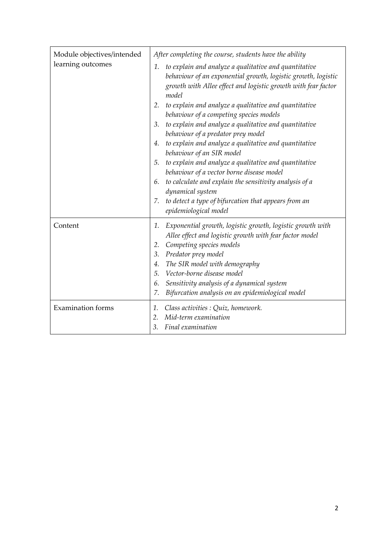| Module objectives/intended<br>learning outcomes | After completing the course, students have the ability                                                                                                                                                                                                                                                                                                                                         |  |  |
|-------------------------------------------------|------------------------------------------------------------------------------------------------------------------------------------------------------------------------------------------------------------------------------------------------------------------------------------------------------------------------------------------------------------------------------------------------|--|--|
|                                                 | to explain and analyze a qualitative and quantitative<br>1.<br>behaviour of an exponential growth, logistic growth, logistic<br>growth with Allee effect and logistic growth with fear factor<br>model                                                                                                                                                                                         |  |  |
|                                                 | 2. to explain and analyze a qualitative and quantitative<br>behaviour of a competing species models                                                                                                                                                                                                                                                                                            |  |  |
|                                                 | 3. to explain and analyze a qualitative and quantitative<br>behaviour of a predator prey model                                                                                                                                                                                                                                                                                                 |  |  |
|                                                 | to explain and analyze a qualitative and quantitative<br>4.<br>behaviour of an SIR model                                                                                                                                                                                                                                                                                                       |  |  |
|                                                 | to explain and analyze a qualitative and quantitative<br>5.<br>behaviour of a vector borne disease model                                                                                                                                                                                                                                                                                       |  |  |
|                                                 | 6. to calculate and explain the sensitivity analysis of a<br>dynamical system                                                                                                                                                                                                                                                                                                                  |  |  |
|                                                 | 7. to detect a type of bifurcation that appears from an<br>epidemiological model                                                                                                                                                                                                                                                                                                               |  |  |
| Content                                         | Exponential growth, logistic growth, logistic growth with<br>1.<br>Allee effect and logistic growth with fear factor model<br>Competing species models<br>2.<br>Predator prey model<br>3.<br>The SIR model with demography<br>4.<br>Vector-borne disease model<br>5 <sub>1</sub><br>Sensitivity analysis of a dynamical system<br>6.<br>Bifurcation analysis on an epidemiological model<br>7. |  |  |
| <b>Examination forms</b>                        | Class activities : Quiz, homework.<br>1.<br>Mid-term examination<br>2.<br>3.<br>Final examination                                                                                                                                                                                                                                                                                              |  |  |